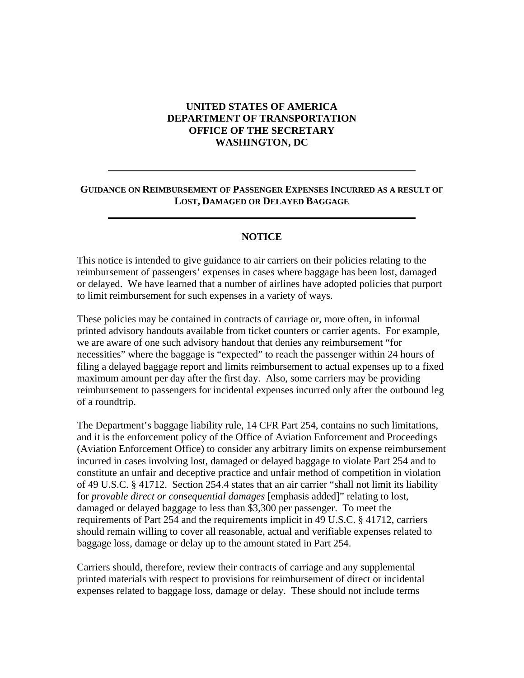## **UNITED STATES OF AMERICA DEPARTMENT OF TRANSPORTATION OFFICE OF THE SECRETARY WASHINGTON, DC**

## **GUIDANCE ON REIMBURSEMENT OF PASSENGER EXPENSES INCURRED AS A RESULT OF LOST, DAMAGED OR DELAYED BAGGAGE**

## **NOTICE**

This notice is intended to give guidance to air carriers on their policies relating to the reimbursement of passengers' expenses in cases where baggage has been lost, damaged or delayed. We have learned that a number of airlines have adopted policies that purport to limit reimbursement for such expenses in a variety of ways.

These policies may be contained in contracts of carriage or, more often, in informal printed advisory handouts available from ticket counters or carrier agents. For example, we are aware of one such advisory handout that denies any reimbursement "for necessities" where the baggage is "expected" to reach the passenger within 24 hours of filing a delayed baggage report and limits reimbursement to actual expenses up to a fixed maximum amount per day after the first day. Also, some carriers may be providing reimbursement to passengers for incidental expenses incurred only after the outbound leg of a roundtrip.

The Department's baggage liability rule, 14 CFR Part 254, contains no such limitations, and it is the enforcement policy of the Office of Aviation Enforcement and Proceedings (Aviation Enforcement Office) to consider any arbitrary limits on expense reimbursement incurred in cases involving lost, damaged or delayed baggage to violate Part 254 and to constitute an unfair and deceptive practice and unfair method of competition in violation of 49 U.S.C. § 41712. Section 254.4 states that an air carrier "shall not limit its liability for *provable direct or consequential damages* [emphasis added]" relating to lost, damaged or delayed baggage to less than \$3,300 per passenger. To meet the requirements of Part 254 and the requirements implicit in 49 U.S.C. § 41712, carriers should remain willing to cover all reasonable, actual and verifiable expenses related to baggage loss, damage or delay up to the amount stated in Part 254.

Carriers should, therefore, review their contracts of carriage and any supplemental printed materials with respect to provisions for reimbursement of direct or incidental expenses related to baggage loss, damage or delay. These should not include terms